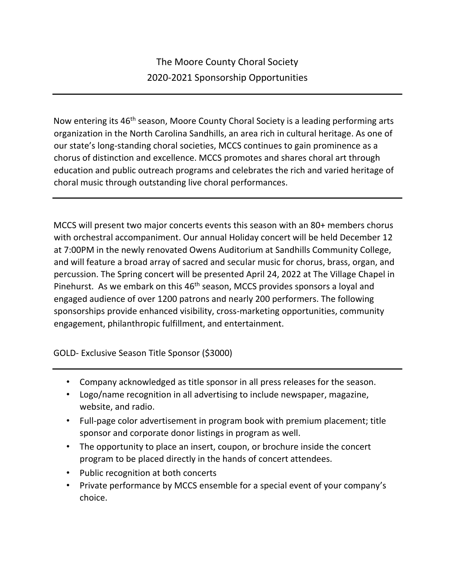Now entering its 46<sup>th</sup> season, Moore County Choral Society is a leading performing arts organization in the North Carolina Sandhills, an area rich in cultural heritage. As one of our state's long-standing choral societies, MCCS continues to gain prominence as a chorus of distinction and excellence. MCCS promotes and shares choral art through education and public outreach programs and celebrates the rich and varied heritage of choral music through outstanding live choral performances.

MCCS will present two major concerts events this season with an 80+ members chorus with orchestral accompaniment. Our annual Holiday concert will be held December 12 at 7:00PM in the newly renovated Owens Auditorium at Sandhills Community College, and will feature a broad array of sacred and secular music for chorus, brass, organ, and percussion. The Spring concert will be presented April 24, 2022 at The Village Chapel in Pinehurst. As we embark on this 46<sup>th</sup> season, MCCS provides sponsors a loyal and engaged audience of over 1200 patrons and nearly 200 performers. The following sponsorships provide enhanced visibility, cross-marketing opportunities, community engagement, philanthropic fulfillment, and entertainment.

GOLD- Exclusive Season Title Sponsor (\$3000)

- Company acknowledged as title sponsor in all press releases for the season.
- Logo/name recognition in all advertising to include newspaper, magazine, website, and radio.
- Full-page color advertisement in program book with premium placement; title sponsor and corporate donor listings in program as well.
- The opportunity to place an insert, coupon, or brochure inside the concert program to be placed directly in the hands of concert attendees.
- Public recognition at both concerts
- Private performance by MCCS ensemble for a special event of your company's choice.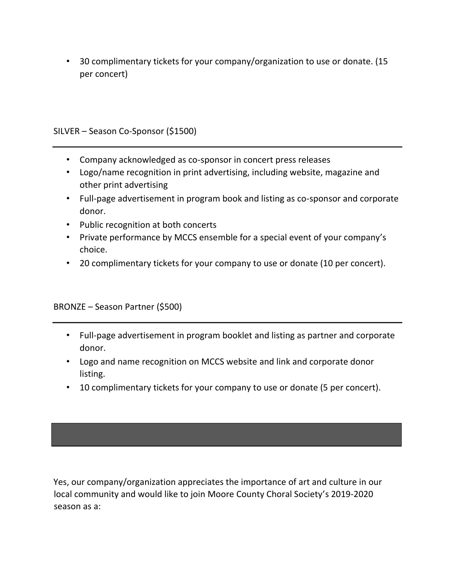• 30 complimentary tickets for your company/organization to use or donate. (15 per concert)

SILVER – Season Co-Sponsor (\$1500)

- Company acknowledged as co-sponsor in concert press releases
- Logo/name recognition in print advertising, including website, magazine and other print advertising
- Full-page advertisement in program book and listing as co-sponsor and corporate donor.
- Public recognition at both concerts
- Private performance by MCCS ensemble for a special event of your company's choice.
- 20 complimentary tickets for your company to use or donate (10 per concert).

BRONZE – Season Partner (\$500)

- Full-page advertisement in program booklet and listing as partner and corporate donor.
- Logo and name recognition on MCCS website and link and corporate donor listing.
- 10 complimentary tickets for your company to use or donate (5 per concert).

Yes, our company/organization appreciates the importance of art and culture in our local community and would like to join Moore County Choral Society's 2019-2020 season as a: